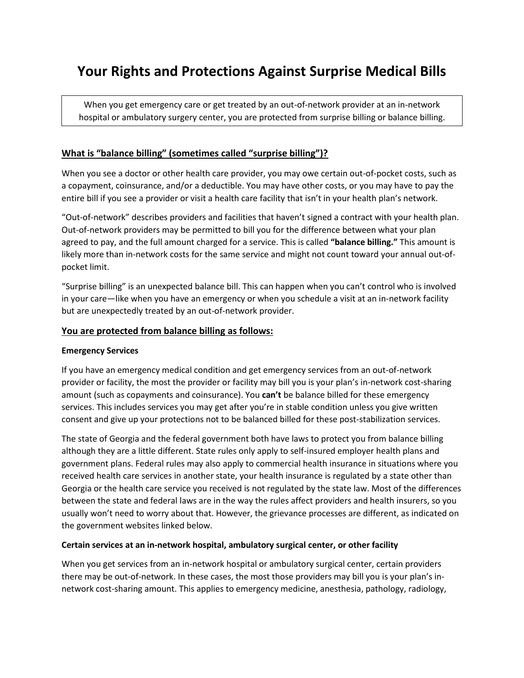# **Your Rights and Protections Against Surprise Medical Bills**

When you get emergency care or get treated by an out-of-network provider at an in-network hospital or ambulatory surgery center, you are protected from surprise billing or balance billing.

# **What is "balance billing" (sometimes called "surprise billing")?**

When you see a doctor or other health care provider, you may owe certain out-of-pocket costs, such as a copayment, coinsurance, and/or a deductible. You may have other costs, or you may have to pay the entire bill if you see a provider or visit a health care facility that isn't in your health plan's network.

"Out-of-network" describes providers and facilities that haven't signed a contract with your health plan. Out-of-network providers may be permitted to bill you for the difference between what your plan agreed to pay, and the full amount charged for a service. This is called **"balance billing."** This amount is likely more than in-network costs for the same service and might not count toward your annual out-ofpocket limit.

"Surprise billing" is an unexpected balance bill. This can happen when you can't control who is involved in your care—like when you have an emergency or when you schedule a visit at an in-network facility but are unexpectedly treated by an out-of-network provider.

#### **You are protected from balance billing as follows:**

#### **Emergency Services**

If you have an emergency medical condition and get emergency services from an out-of-network provider or facility, the most the provider or facility may bill you is your plan's in-network cost-sharing amount (such as copayments and coinsurance). You **can't** be balance billed for these emergency services. This includes services you may get after you're in stable condition unless you give written consent and give up your protections not to be balanced billed for these post-stabilization services.

The state of Georgia and the federal government both have laws to protect you from balance billing although they are a little different. State rules only apply to self-insured employer health plans and government plans. Federal rules may also apply to commercial health insurance in situations where you received health care services in another state, your health insurance is regulated by a state other than Georgia or the health care service you received is not regulated by the state law. Most of the differences between the state and federal laws are in the way the rules affect providers and health insurers, so you usually won't need to worry about that. However, the grievance processes are different, as indicated on the government websites linked below.

#### **Certain services at an in-network hospital, ambulatory surgical center, or other facility**

When you get services from an in-network hospital or ambulatory surgical center, certain providers there may be out-of-network. In these cases, the most those providers may bill you is your plan's innetwork cost-sharing amount. This applies to emergency medicine, anesthesia, pathology, radiology,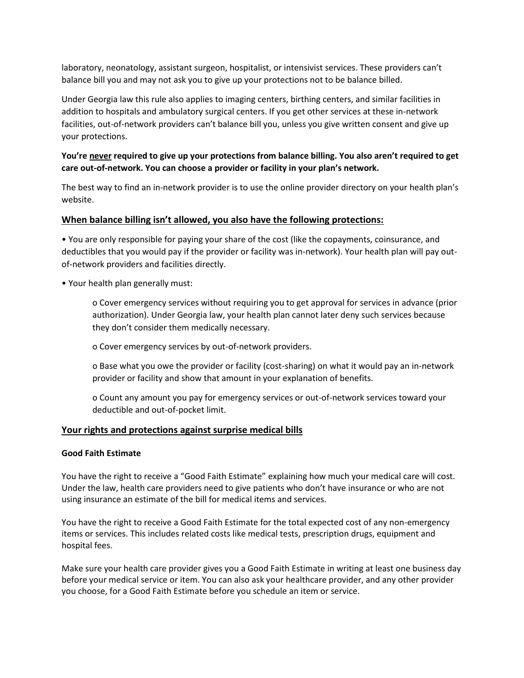laboratory, neonatology, assistant surgeon, hospitalist, or intensivist services. These providers can't balance bill you and may not ask you to give up your protections not to be balance billed.

Under Georgia law this rule also applies to imaging centers, birthing centers, and similar facilities in addition to hospitals and ambulatory surgical centers. If you get other services at these in-network facilities, out-of-network providers can't balance bill you, unless you give written consent and give up your protections.

# **You're never required to give up your protections from balance billing. You also aren't required to get care out-of-network. You can choose a provider or facility in your plan's network.**

The best way to find an in-network provider is to use the online provider directory on your health plan's website.

# **When balance billing isn't allowed, you also have the following protections:**

• You are only responsible for paying your share of the cost (like the copayments, coinsurance, and deductibles that you would pay if the provider or facility was in-network). Your health plan will pay outof-network providers and facilities directly.

• Your health plan generally must:

o Cover emergency services without requiring you to get approval for services in advance (prior authorization). Under Georgia law, your health plan cannot later deny such services because they don't consider them medically necessary.

o Cover emergency services by out-of-network providers.

o Base what you owe the provider or facility (cost-sharing) on what it would pay an in-network provider or facility and show that amount in your explanation of benefits.

o Count any amount you pay for emergency services or out-of-network services toward your deductible and out-of-pocket limit.

# **Your rights and protections against surprise medical bills**

# **Good Faith Estimate**

You have the right to receive a "Good Faith Estimate" explaining how much your medical care will cost. Under the law, health care providers need to give patients who don't have insurance or who are not using insurance an estimate of the bill for medical items and services.

You have the right to receive a Good Faith Estimate for the total expected cost of any non-emergency items or services. This includes related costs like medical tests, prescription drugs, equipment and hospital fees.

Make sure your health care provider gives you a Good Faith Estimate in writing at least one business day before your medical service or item. You can also ask your healthcare provider, and any other provider you choose, for a Good Faith Estimate before you schedule an item or service.